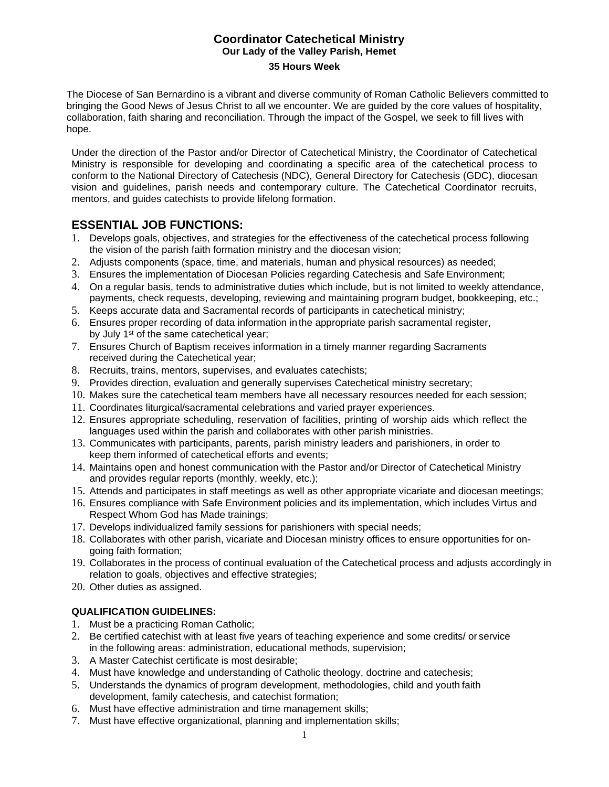# **Coordinator Catechetical Ministry Our Lady of the Valley Parish, Hemet**

#### **35 Hours Week**

The Diocese of San Bernardino is a vibrant and diverse community of Roman Catholic Believers committed to bringing the Good News of Jesus Christ to all we encounter. We are guided by the core values of hospitality, collaboration, faith sharing and reconciliation. Through the impact of the Gospel, we seek to fill lives with hope.

Under the direction of the Pastor and/or Director of Catechetical Ministry, the Coordinator of Catechetical Ministry is responsible for developing and coordinating a specific area of the catechetical process to conform to the National Directory of Catechesis (NDC), General Directory for Catechesis (GDC), diocesan vision and guidelines, parish needs and contemporary culture. The Catechetical Coordinator recruits, mentors, and guides catechists to provide lifelong formation.

# **ESSENTIAL JOB FUNCTIONS:**

- 1. Develops goals, objectives, and strategies for the effectiveness of the catechetical process following the vision of the parish faith formation ministry and the diocesan vision;
- 2. Adjusts components (space, time, and materials, human and physical resources) as needed;
- 3. Ensures the implementation of Diocesan Policies regarding Catechesis and Safe Environment;
- 4. On a regular basis, tends to administrative duties which include, but is not limited to weekly attendance, payments, check requests, developing, reviewing and maintaining program budget, bookkeeping, etc.;
- 5. Keeps accurate data and Sacramental records of participants in catechetical ministry;
- 6. Ensures proper recording of data information in the appropriate parish sacramental register, by July 1<sup>st</sup> of the same catechetical year;
- 7. Ensures Church of Baptism receives information in a timely manner regarding Sacraments received during the Catechetical year;
- 8. Recruits, trains, mentors, supervises, and evaluates catechists;
- 9. Provides direction, evaluation and generally supervises Catechetical ministry secretary;
- 10. Makes sure the catechetical team members have all necessary resources needed for each session;
- 11. Coordinates liturgical/sacramental celebrations and varied prayer experiences.
- 12. Ensures appropriate scheduling, reservation of facilities, printing of worship aids which reflect the languages used within the parish and collaborates with other parish ministries.
- 13. Communicates with participants, parents, parish ministry leaders and parishioners, in order to keep them informed of catechetical efforts and events;
- 14. Maintains open and honest communication with the Pastor and/or Director of Catechetical Ministry and provides regular reports (monthly, weekly, etc.);
- 15. Attends and participates in staff meetings as well as other appropriate vicariate and diocesan meetings;
- 16. Ensures compliance with Safe Environment policies and its implementation, which includes Virtus and Respect Whom God has Made trainings;
- 17. Develops individualized family sessions for parishioners with special needs;
- 18. Collaborates with other parish, vicariate and Diocesan ministry offices to ensure opportunities for ongoing faith formation;
- 19. Collaborates in the process of continual evaluation of the Catechetical process and adjusts accordingly in relation to goals, objectives and effective strategies;
- 20. Other duties as assigned.

## **QUALIFICATION GUIDELINES:**

- 1. Must be a practicing Roman Catholic;
- 2. Be certified catechist with at least five years of teaching experience and some credits/ or service in the following areas: administration, educational methods, supervision;
- 3. A Master Catechist certificate is most desirable;
- 4. Must have knowledge and understanding of Catholic theology, doctrine and catechesis;
- 5. Understands the dynamics of program development, methodologies, child and youth faith development, family catechesis, and catechist formation;
- 6. Must have effective administration and time management skills;
- 7. Must have effective organizational, planning and implementation skills;